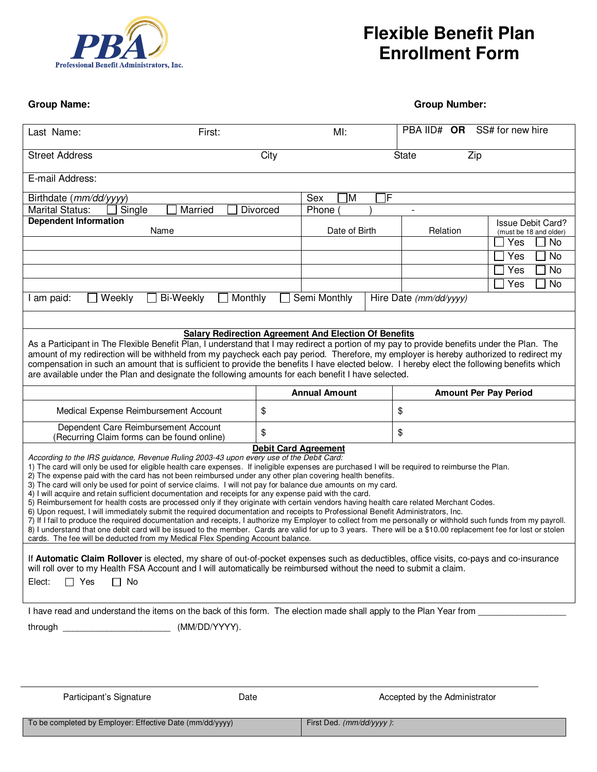

## **Flexible Benefit Plan Enrollment Form**

**Group Name: Group Number:** 

| Last Name:                                                                                                                                                                                                                                                                                                                                                                                                                                                                                                                                                                                                                                                                                                                                                                                                                                                                                                                                                                                                                                                                                                                                                                                                                                                                                                                                                                                                                                                                                                                                                                                                                 | First: |          |                          | $M!$ :               |    | PBA IID# OR SS# for new hire  |                          |  |
|----------------------------------------------------------------------------------------------------------------------------------------------------------------------------------------------------------------------------------------------------------------------------------------------------------------------------------------------------------------------------------------------------------------------------------------------------------------------------------------------------------------------------------------------------------------------------------------------------------------------------------------------------------------------------------------------------------------------------------------------------------------------------------------------------------------------------------------------------------------------------------------------------------------------------------------------------------------------------------------------------------------------------------------------------------------------------------------------------------------------------------------------------------------------------------------------------------------------------------------------------------------------------------------------------------------------------------------------------------------------------------------------------------------------------------------------------------------------------------------------------------------------------------------------------------------------------------------------------------------------------|--------|----------|--------------------------|----------------------|----|-------------------------------|--------------------------|--|
| <b>Street Address</b>                                                                                                                                                                                                                                                                                                                                                                                                                                                                                                                                                                                                                                                                                                                                                                                                                                                                                                                                                                                                                                                                                                                                                                                                                                                                                                                                                                                                                                                                                                                                                                                                      | City   |          |                          | Zip<br><b>State</b>  |    |                               |                          |  |
| E-mail Address:                                                                                                                                                                                                                                                                                                                                                                                                                                                                                                                                                                                                                                                                                                                                                                                                                                                                                                                                                                                                                                                                                                                                                                                                                                                                                                                                                                                                                                                                                                                                                                                                            |        |          |                          |                      |    |                               |                          |  |
| Birthdate (mm/dd/yyyy)                                                                                                                                                                                                                                                                                                                                                                                                                                                                                                                                                                                                                                                                                                                                                                                                                                                                                                                                                                                                                                                                                                                                                                                                                                                                                                                                                                                                                                                                                                                                                                                                     |        |          |                          | F<br>ÌМ<br>Sex       |    |                               |                          |  |
| Single<br>Married<br><b>Marital Status:</b>                                                                                                                                                                                                                                                                                                                                                                                                                                                                                                                                                                                                                                                                                                                                                                                                                                                                                                                                                                                                                                                                                                                                                                                                                                                                                                                                                                                                                                                                                                                                                                                |        | Divorced | Phone                    |                      |    |                               |                          |  |
| <b>Dependent Information</b>                                                                                                                                                                                                                                                                                                                                                                                                                                                                                                                                                                                                                                                                                                                                                                                                                                                                                                                                                                                                                                                                                                                                                                                                                                                                                                                                                                                                                                                                                                                                                                                               |        |          |                          |                      |    |                               | <b>Issue Debit Card?</b> |  |
| Name                                                                                                                                                                                                                                                                                                                                                                                                                                                                                                                                                                                                                                                                                                                                                                                                                                                                                                                                                                                                                                                                                                                                                                                                                                                                                                                                                                                                                                                                                                                                                                                                                       |        |          | Date of Birth            |                      |    | Relation                      | (must be 18 and older)   |  |
|                                                                                                                                                                                                                                                                                                                                                                                                                                                                                                                                                                                                                                                                                                                                                                                                                                                                                                                                                                                                                                                                                                                                                                                                                                                                                                                                                                                                                                                                                                                                                                                                                            |        |          |                          |                      |    |                               | Yes<br><b>No</b>         |  |
|                                                                                                                                                                                                                                                                                                                                                                                                                                                                                                                                                                                                                                                                                                                                                                                                                                                                                                                                                                                                                                                                                                                                                                                                                                                                                                                                                                                                                                                                                                                                                                                                                            |        |          |                          |                      |    |                               | <b>No</b><br>Yes         |  |
|                                                                                                                                                                                                                                                                                                                                                                                                                                                                                                                                                                                                                                                                                                                                                                                                                                                                                                                                                                                                                                                                                                                                                                                                                                                                                                                                                                                                                                                                                                                                                                                                                            |        |          |                          |                      |    |                               | Yes<br><b>No</b>         |  |
|                                                                                                                                                                                                                                                                                                                                                                                                                                                                                                                                                                                                                                                                                                                                                                                                                                                                                                                                                                                                                                                                                                                                                                                                                                                                                                                                                                                                                                                                                                                                                                                                                            |        |          |                          |                      |    |                               | Yes<br><b>No</b>         |  |
| Semi Monthly<br>Weekly<br><b>Bi-Weekly</b><br>Monthly<br>I am paid:                                                                                                                                                                                                                                                                                                                                                                                                                                                                                                                                                                                                                                                                                                                                                                                                                                                                                                                                                                                                                                                                                                                                                                                                                                                                                                                                                                                                                                                                                                                                                        |        |          |                          |                      |    | Hire Date (mm/dd/yyyy)        |                          |  |
|                                                                                                                                                                                                                                                                                                                                                                                                                                                                                                                                                                                                                                                                                                                                                                                                                                                                                                                                                                                                                                                                                                                                                                                                                                                                                                                                                                                                                                                                                                                                                                                                                            |        |          |                          |                      |    |                               |                          |  |
| <b>Salary Redirection Agreement And Election Of Benefits</b><br>As a Participant in The Flexible Benefit Plan, I understand that I may redirect a portion of my pay to provide benefits under the Plan. The<br>amount of my redirection will be withheld from my paycheck each pay period. Therefore, my employer is hereby authorized to redirect my<br>compensation in such an amount that is sufficient to provide the benefits I have elected below. I hereby elect the following benefits which<br>are available under the Plan and designate the following amounts for each benefit I have selected.                                                                                                                                                                                                                                                                                                                                                                                                                                                                                                                                                                                                                                                                                                                                                                                                                                                                                                                                                                                                                 |        |          |                          |                      |    |                               |                          |  |
|                                                                                                                                                                                                                                                                                                                                                                                                                                                                                                                                                                                                                                                                                                                                                                                                                                                                                                                                                                                                                                                                                                                                                                                                                                                                                                                                                                                                                                                                                                                                                                                                                            |        |          |                          | <b>Annual Amount</b> |    | <b>Amount Per Pay Period</b>  |                          |  |
| Medical Expense Reimbursement Account                                                                                                                                                                                                                                                                                                                                                                                                                                                                                                                                                                                                                                                                                                                                                                                                                                                                                                                                                                                                                                                                                                                                                                                                                                                                                                                                                                                                                                                                                                                                                                                      | \$     |          |                          |                      | \$ |                               |                          |  |
| Dependent Care Reimbursement Account<br>(Recurring Claim forms can be found online)                                                                                                                                                                                                                                                                                                                                                                                                                                                                                                                                                                                                                                                                                                                                                                                                                                                                                                                                                                                                                                                                                                                                                                                                                                                                                                                                                                                                                                                                                                                                        | \$     |          |                          |                      | \$ |                               |                          |  |
| <b>Debit Card Agreement</b><br>According to the IRS guidance, Revenue Ruling 2003-43 upon every use of the Debit Card:<br>1) The card will only be used for eligible health care expenses. If ineligible expenses are purchased I will be required to reimburse the Plan.<br>2) The expense paid with the card has not been reimbursed under any other plan covering health benefits.<br>3) The card will only be used for point of service claims. I will not pay for balance due amounts on my card.<br>4) I will acquire and retain sufficient documentation and receipts for any expense paid with the card.<br>5) Reimbursement for health costs are processed only if they originate with certain vendors having health care related Merchant Codes.<br>6) Upon request, I will immediately submit the required documentation and receipts to Professional Benefit Administrators, Inc.<br>7) If I fail to produce the required documentation and receipts, I authorize my Employer to collect from me personally or withhold such funds from my payroll.<br>8) I understand that one debit card will be issued to the member. Cards are valid for up to 3 years. There will be a \$10.00 replacement fee for lost or stolen<br>cards. The fee will be deducted from my Medical Flex Spending Account balance.<br>If Automatic Claim Rollover is elected, my share of out-of-pocket expenses such as deductibles, office visits, co-pays and co-insurance<br>will roll over to my Health FSA Account and I will automatically be reimbursed without the need to submit a claim.<br>$\Box$ Yes<br>$\Box$ No<br>Elect: |        |          |                          |                      |    |                               |                          |  |
| I have read and understand the items on the back of this form. The election made shall apply to the Plan Year from                                                                                                                                                                                                                                                                                                                                                                                                                                                                                                                                                                                                                                                                                                                                                                                                                                                                                                                                                                                                                                                                                                                                                                                                                                                                                                                                                                                                                                                                                                         |        |          |                          |                      |    |                               |                          |  |
| (MM/DD/YYYY).<br>through _________________________                                                                                                                                                                                                                                                                                                                                                                                                                                                                                                                                                                                                                                                                                                                                                                                                                                                                                                                                                                                                                                                                                                                                                                                                                                                                                                                                                                                                                                                                                                                                                                         |        |          |                          |                      |    |                               |                          |  |
|                                                                                                                                                                                                                                                                                                                                                                                                                                                                                                                                                                                                                                                                                                                                                                                                                                                                                                                                                                                                                                                                                                                                                                                                                                                                                                                                                                                                                                                                                                                                                                                                                            |        |          |                          |                      |    |                               |                          |  |
| Participant's Signature                                                                                                                                                                                                                                                                                                                                                                                                                                                                                                                                                                                                                                                                                                                                                                                                                                                                                                                                                                                                                                                                                                                                                                                                                                                                                                                                                                                                                                                                                                                                                                                                    | Date   |          |                          |                      |    | Accepted by the Administrator |                          |  |
| To be completed by Employer: Effective Date (mm/dd/yyyy)                                                                                                                                                                                                                                                                                                                                                                                                                                                                                                                                                                                                                                                                                                                                                                                                                                                                                                                                                                                                                                                                                                                                                                                                                                                                                                                                                                                                                                                                                                                                                                   |        |          | First Ded. (mm/dd/yyyy): |                      |    |                               |                          |  |